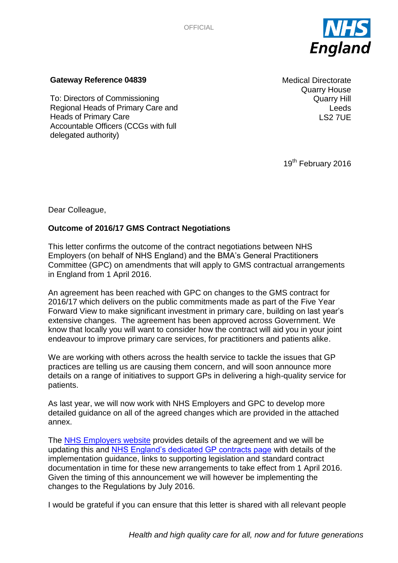

### **Gateway Reference 04839**

To: Directors of Commissioning Regional Heads of Primary Care and Heads of Primary Care Accountable Officers (CCGs with full delegated authority)

Medical Directorate Quarry House Quarry Hill Leeds LS2 7UE

19<sup>th</sup> February 2016

Dear Colleague,

# **Outcome of 2016/17 GMS Contract Negotiations**

This letter confirms the outcome of the contract negotiations between NHS Employers (on behalf of NHS England) and the BMA's General Practitioners Committee (GPC) on amendments that will apply to GMS contractual arrangements in England from 1 April 2016.

An agreement has been reached with GPC on changes to the GMS contract for 2016/17 which delivers on the public commitments made as part of the Five Year Forward View to make significant investment in primary care, building on last year's extensive changes. The agreement has been approved across Government. We know that locally you will want to consider how the contract will aid you in your joint endeavour to improve primary care services, for practitioners and patients alike.

We are working with others across the health service to tackle the issues that GP practices are telling us are causing them concern, and will soon announce more details on a range of initiatives to support GPs in delivering a high-quality service for patients.

As last year, we will now work with NHS Employers and GPC to develop more detailed guidance on all of the agreed changes which are provided in the attached annex.

The [NHS Employers website](http://www.nhsemployers.org/GMS201617) provides details of the agreement and we will be updating this and [NHS England's dedicated GP contracts page](https://www.england.nhs.uk/commissioning/gp-contract/) with details of the implementation guidance, links to supporting legislation and standard contract documentation in time for these new arrangements to take effect from 1 April 2016. Given the timing of this announcement we will however be implementing the changes to the Regulations by July 2016.

I would be grateful if you can ensure that this letter is shared with all relevant people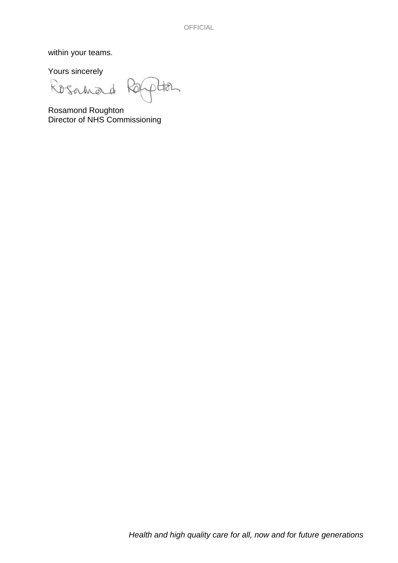within your teams.

Yours sincerely

Rosanad

Han

Rosamond Roughton Director of NHS Commissioning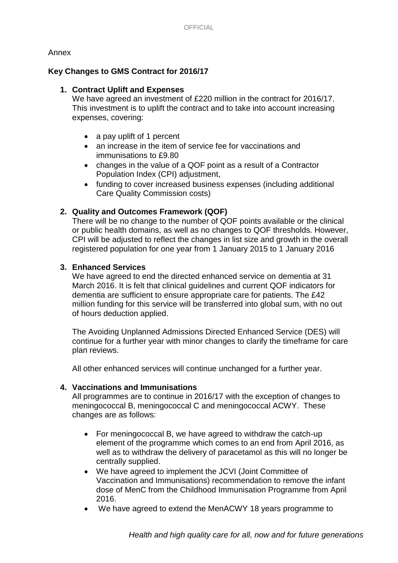### Annex

# **Key Changes to GMS Contract for 2016/17**

# **1. Contract Uplift and Expenses**

We have agreed an investment of £220 million in the contract for 2016/17. This investment is to uplift the contract and to take into account increasing expenses, covering:

- a pay uplift of 1 percent
- an increase in the item of service fee for vaccinations and immunisations to £9.80
- changes in the value of a QOF point as a result of a Contractor Population Index (CPI) adjustment,
- funding to cover increased business expenses (including additional Care Quality Commission costs)

# **2. Quality and Outcomes Framework (QOF)**

There will be no change to the number of QOF points available or the clinical or public health domains, as well as no changes to QOF thresholds. However, CPI will be adjusted to reflect the changes in list size and growth in the overall registered population for one year from 1 January 2015 to 1 January 2016

### **3. Enhanced Services**

We have agreed to end the directed enhanced service on dementia at 31 March 2016. It is felt that clinical guidelines and current QOF indicators for dementia are sufficient to ensure appropriate care for patients. The £42 million funding for this service will be transferred into global sum, with no out of hours deduction applied.

The Avoiding Unplanned Admissions Directed Enhanced Service (DES) will continue for a further year with minor changes to clarify the timeframe for care plan reviews.

All other enhanced services will continue unchanged for a further year.

### **4. Vaccinations and Immunisations**

All programmes are to continue in 2016/17 with the exception of changes to meningococcal B, meningococcal C and meningococcal ACWY. These changes are as follows:

- For meningococcal B, we have agreed to withdraw the catch-up element of the programme which comes to an end from April 2016, as well as to withdraw the delivery of paracetamol as this will no longer be centrally supplied.
- We have agreed to implement the JCVI (Joint Committee of Vaccination and Immunisations) recommendation to remove the infant dose of MenC from the Childhood Immunisation Programme from April 2016.
- We have agreed to extend the MenACWY 18 years programme to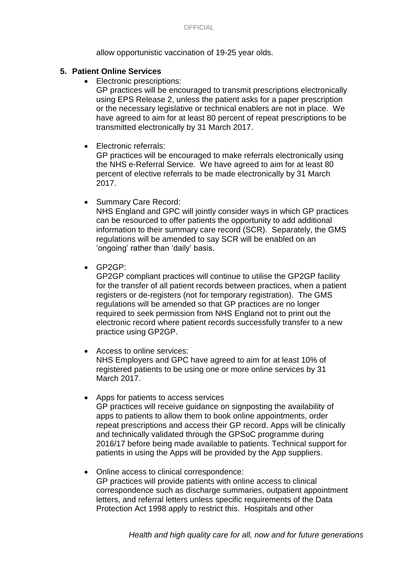allow opportunistic vaccination of 19-25 year olds.

### **5. Patient Online Services**

• Electronic prescriptions:

GP practices will be encouraged to transmit prescriptions electronically using EPS Release 2, unless the patient asks for a paper prescription or the necessary legislative or technical enablers are not in place. We have agreed to aim for at least 80 percent of repeat prescriptions to be transmitted electronically by 31 March 2017.

# • Electronic referrals:

GP practices will be encouraged to make referrals electronically using the NHS e-Referral Service. We have agreed to aim for at least 80 percent of elective referrals to be made electronically by 31 March 2017.

• Summary Care Record:

NHS England and GPC will jointly consider ways in which GP practices can be resourced to offer patients the opportunity to add additional information to their summary care record (SCR). Separately, the GMS regulations will be amended to say SCR will be enabled on an 'ongoing' rather than 'daily' basis.

GP2GP:

GP2GP compliant practices will continue to utilise the GP2GP facility for the transfer of all patient records between practices, when a patient registers or de-registers (not for temporary registration). The GMS regulations will be amended so that GP practices are no longer required to seek permission from NHS England not to print out the electronic record where patient records successfully transfer to a new practice using GP2GP.

- Access to online services: NHS Employers and GPC have agreed to aim for at least 10% of registered patients to be using one or more online services by 31 March 2017.
- Apps for patients to access services GP practices will receive guidance on signposting the availability of apps to patients to allow them to book online appointments, order repeat prescriptions and access their GP record. Apps will be clinically and technically validated through the GPSoC programme during 2016/17 before being made available to patients. Technical support for patients in using the Apps will be provided by the App suppliers.
- Online access to clinical correspondence: GP practices will provide patients with online access to clinical correspondence such as discharge summaries, outpatient appointment letters, and referral letters unless specific requirements of the Data Protection Act 1998 apply to restrict this. Hospitals and other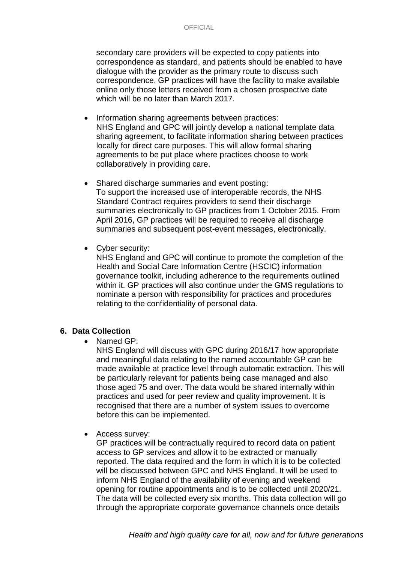secondary care providers will be expected to copy patients into correspondence as standard, and patients should be enabled to have dialogue with the provider as the primary route to discuss such correspondence. GP practices will have the facility to make available online only those letters received from a chosen prospective date which will be no later than March 2017.

- Information sharing agreements between practices: NHS England and GPC will jointly develop a national template data sharing agreement, to facilitate information sharing between practices locally for direct care purposes. This will allow formal sharing agreements to be put place where practices choose to work collaboratively in providing care.
- Shared discharge summaries and event posting: To support the increased use of interoperable records, the NHS Standard Contract requires providers to send their discharge summaries electronically to GP practices from 1 October 2015. From April 2016, GP practices will be required to receive all discharge summaries and subsequent post-event messages, electronically.
- Cyber security:

NHS England and GPC will continue to promote the completion of the Health and Social Care Information Centre (HSCIC) information governance toolkit, including adherence to the requirements outlined within it. GP practices will also continue under the GMS regulations to nominate a person with responsibility for practices and procedures relating to the confidentiality of personal data.

### **6. Data Collection**

• Named GP:

NHS England will discuss with GPC during 2016/17 how appropriate and meaningful data relating to the named accountable GP can be made available at practice level through automatic extraction. This will be particularly relevant for patients being case managed and also those aged 75 and over. The data would be shared internally within practices and used for peer review and quality improvement. It is recognised that there are a number of system issues to overcome before this can be implemented.

• Access survey:

GP practices will be contractually required to record data on patient access to GP services and allow it to be extracted or manually reported. The data required and the form in which it is to be collected will be discussed between GPC and NHS England. It will be used to inform NHS England of the availability of evening and weekend opening for routine appointments and is to be collected until 2020/21. The data will be collected every six months. This data collection will go through the appropriate corporate governance channels once details